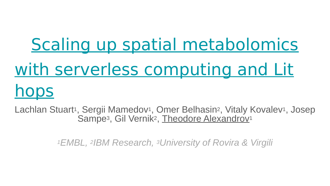# [Scaling up spatial metabolomics](https://wosc7.hotcrp.com/paper/89) [with serverless computing and Lit](https://wosc7.hotcrp.com/paper/89) [hops](https://wosc7.hotcrp.com/paper/89)

Lachlan Stuart<sup>1</sup>, Sergii Mamedov<sup>1</sup>, Omer Belhasin<sup>2</sup>, Vitaly Kovalev<sup>1</sup>, Josep Sampe<sup>3</sup>, Gil Vernik<sup>2</sup>, Theodore Alexandrov<sup>1</sup>

*<sup>1</sup>EMBL, 2IBM Research, 3University of Rovira & Virgili*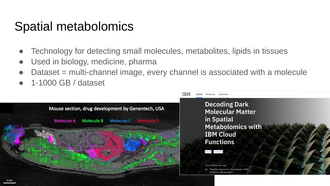## Spatial metabolomics

- Technology for detecting small molecules, metabolites, lipids in tissues
- Used in biology, medicine, pharma
- Dataset = multi-channel image, every channel is associated with a molecule
- 1-1000 GB / dataset

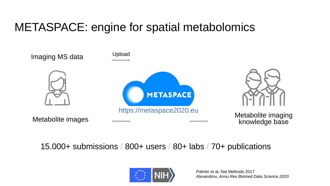## METASPACE: engine for spatial metabolomics



15.000+ submissions / 800+ users / 80+ labs / 70+ publications

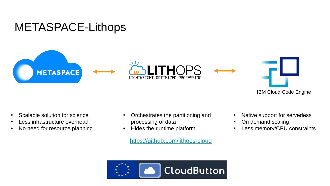#### METASPACE-Lithops



IBM Cloud Code Engine

- Scalable solution for science
- Less infrastructure overhead
- No need for resource planning
- Orchestrates the partitioning and processing of data
- Hides the runtime platform

<https://github.com/lithops-cloud>



- Native support for serverless
- On demand scaling
- Less memory/CPU constraints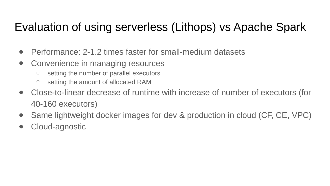### Evaluation of using serverless (Lithops) vs Apache Spark

- Performance: 2-1.2 times faster for small-medium datasets
- Convenience in managing resources
	- setting the number of parallel executors
	- setting the amount of allocated RAM
- Close-to-linear decrease of runtime with increase of number of executors (for 40-160 executors)
- Same lightweight docker images for dev & production in cloud (CF, CE, VPC)
- Cloud-agnostic